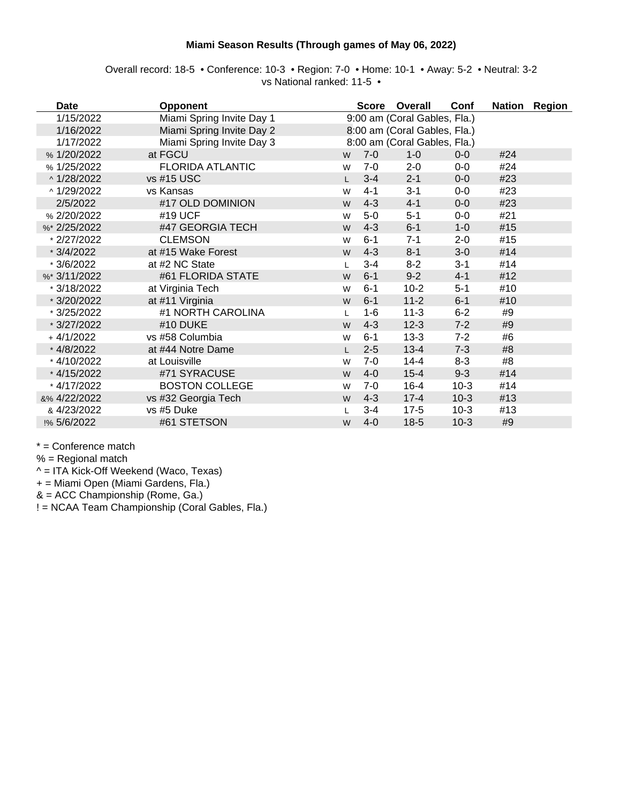## **Miami Season Results (Through games of May 06, 2022)**

| Overall record: 18-5 • Conference: 10-3 • Region: 7-0 • Home: 10-1 • Away: 5-2 • Neutral: 3-2 |                            |  |  |
|-----------------------------------------------------------------------------------------------|----------------------------|--|--|
|                                                                                               | vs National ranked: 11-5 ● |  |  |

| <b>Date</b>  | <b>Opponent</b>           |              |         | Score Overall                | Conf    |     | Nation Region |
|--------------|---------------------------|--------------|---------|------------------------------|---------|-----|---------------|
| 1/15/2022    | Miami Spring Invite Day 1 |              |         | 9:00 am (Coral Gables, Fla.) |         |     |               |
| 1/16/2022    | Miami Spring Invite Day 2 |              |         | 8:00 am (Coral Gables, Fla.) |         |     |               |
| 1/17/2022    | Miami Spring Invite Day 3 |              |         | 8:00 am (Coral Gables, Fla.) |         |     |               |
| % 1/20/2022  | at FGCU                   | W            | $7-0$   | $1 - 0$                      | $0-0$   | #24 |               |
| % 1/25/2022  | <b>FLORIDA ATLANTIC</b>   | W            | $7-0$   | $2 - 0$                      | $0-0$   | #24 |               |
| ^1/28/2022   | vs #15 USC                | $\mathsf{L}$ | $3 - 4$ | $2 - 1$                      | $0-0$   | #23 |               |
| ^ 1/29/2022  | vs Kansas                 | W            | $4 - 1$ | $3 - 1$                      | $0-0$   | #23 |               |
| 2/5/2022     | #17 OLD DOMINION          | W            | $4 - 3$ | $4 - 1$                      | $0-0$   | #23 |               |
| % 2/20/2022  | #19 UCF                   | W            | $5-0$   | $5 - 1$                      | $0-0$   | #21 |               |
| %* 2/25/2022 | #47 GEORGIA TECH          | W            | $4 - 3$ | $6 - 1$                      | $1 - 0$ | #15 |               |
| * 2/27/2022  | <b>CLEMSON</b>            | W            | $6 - 1$ | $7 - 1$                      | $2 - 0$ | #15 |               |
| $*3/4/2022$  | at #15 Wake Forest        | W            | $4 - 3$ | $8 - 1$                      | $3-0$   | #14 |               |
| $*3/6/2022$  | at #2 NC State            | L            | $3 - 4$ | $8 - 2$                      | $3 - 1$ | #14 |               |
| %* 3/11/2022 | #61 FLORIDA STATE         | W            | $6 - 1$ | $9 - 2$                      | $4 - 1$ | #12 |               |
| * 3/18/2022  | at Virginia Tech          | W            | $6 - 1$ | $10-2$                       | $5-1$   | #10 |               |
| * 3/20/2022  | at #11 Virginia           | W            | $6 - 1$ | $11 - 2$                     | $6 - 1$ | #10 |               |
| * 3/25/2022  | #1 NORTH CAROLINA         |              | $1 - 6$ | $11-3$                       | $6-2$   | #9  |               |
| * 3/27/2022  | #10 DUKE                  | W            | $4 - 3$ | $12-3$                       | $7 - 2$ | #9  |               |
| +4/1/2022    | vs #58 Columbia           | W            | $6 - 1$ | $13-3$                       | $7 - 2$ | #6  |               |
| * 4/8/2022   | at #44 Notre Dame         |              | $2 - 5$ | $13 - 4$                     | $7 - 3$ | #8  |               |
| * 4/10/2022  | at Louisville             | W            | $7-0$   | $14 - 4$                     | $8 - 3$ | #8  |               |
| * 4/15/2022  | #71 SYRACUSE              | W            | $4 - 0$ | $15 - 4$                     | $9 - 3$ | #14 |               |
| * 4/17/2022  | <b>BOSTON COLLEGE</b>     | W            | $7-0$   | $16 - 4$                     | $10-3$  | #14 |               |
| &% 4/22/2022 | vs #32 Georgia Tech       | W            | $4 - 3$ | $17 - 4$                     | $10-3$  | #13 |               |
| & 4/23/2022  | vs #5 Duke                |              | $3 - 4$ | $17-5$                       | $10-3$  | #13 |               |
| !% 5/6/2022  | #61 STETSON               | W            | $4 - 0$ | $18-5$                       | $10-3$  | #9  |               |

\* = Conference match

 $% =$  Regional match

^ = ITA Kick-Off Weekend (Waco, Texas)

+ = Miami Open (Miami Gardens, Fla.)

& = ACC Championship (Rome, Ga.)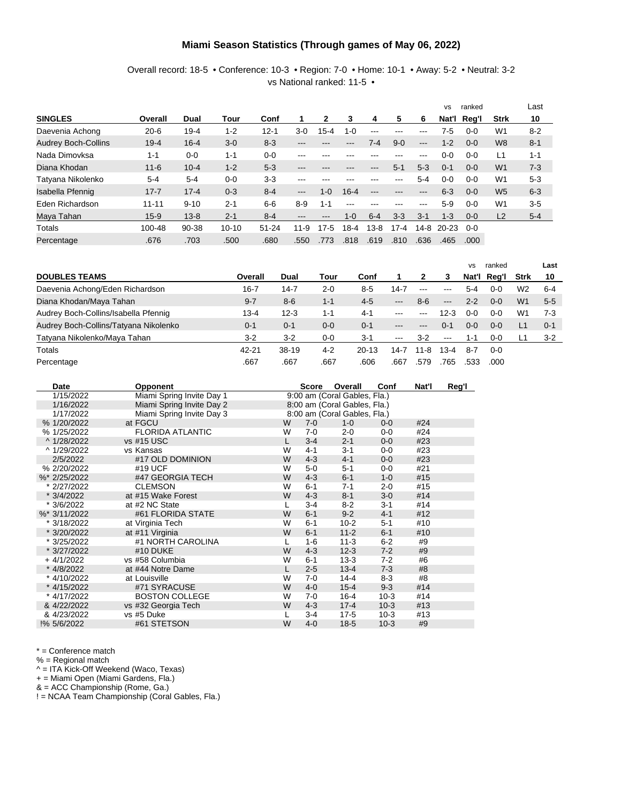#### **Miami Season Statistics (Through games of May 06, 2022)**

Overall record: 18-5 • Conference: 10-3 • Region: 7-0 • Home: 10-1 • Away: 5-2 • Neutral: 3-2 vs National ranked: 11-5 •

|                            |           |          |           |           |          |         |          |         |          |         | <b>VS</b> | ranked  |                | Last    |
|----------------------------|-----------|----------|-----------|-----------|----------|---------|----------|---------|----------|---------|-----------|---------|----------------|---------|
| <b>SINGLES</b>             | Overall   | Dual     | Tour      | Conf      |          |         | 3        | 4       | 5        | 6       | Nat'l     | Req'l   | <b>Strk</b>    | 10      |
| Daevenia Achong            | $20 - 6$  | $19 - 4$ | $1 - 2$   | $12 - 1$  | $3-0$    | 15-4    | $1 - 0$  | ---     | ---      | ---     | 7-5       | $0 - 0$ | W <sub>1</sub> | $8 - 2$ |
| <b>Audrey Boch-Collins</b> | $19 - 4$  | $16 - 4$ | $3-0$     | $8 - 3$   | ---      | ---     | ---      | 7-4     | $9 - 0$  | $---$   | $1 - 2$   | $0 - 0$ | W <sub>8</sub> | $8 - 1$ |
| Nada Dimovksa              | $1 - 1$   | $0 - 0$  | $1 - 1$   | $0 - 0$   | ---      | ---     |          |         | ---      | ---     | $0-0$     | $0 - 0$ | L1             | $1 - 1$ |
| Diana Khodan               | $11 - 6$  | $10 - 4$ | $1 - 2$   | $5 - 3$   | ---      | ---     | ---      | ---     | $5 - 1$  | $5-3$   | $0 - 1$   | $0 - 0$ | W <sub>1</sub> | $7 - 3$ |
| Tatyana Nikolenko          | $5 - 4$   | $5 - 4$  | $0 - 0$   | $3-3$     | ---      | ---     |          |         | ---      | $5 - 4$ | $0 - 0$   | $0 - 0$ | W <sub>1</sub> | $5 - 3$ |
| Isabella Pfennig           | $17 - 7$  | $17 - 4$ | $0 - 3$   | $8 - 4$   | $---$    | $1-0$   | $16 - 4$ | ---     | ---      | ---     | $6 - 3$   | $0 - 0$ | W <sub>5</sub> | $6 - 3$ |
| Eden Richardson            | $11 - 11$ | $9 - 10$ | $2 - 1$   | $6-6$     | $8-9$    | $1 - 1$ | ---      | ---     | ---      | $---$   | $5-9$     | $0 - 0$ | W <sub>1</sub> | $3-5$   |
| Maya Tahan                 | $15-9$    | $13 - 8$ | $2 - 1$   | $8 - 4$   | ---      | ---     | $1-0$    | $6 - 4$ | $3-3$    | $3 - 1$ | $1 - 3$   | $0 - 0$ | L <sub>2</sub> | $5 - 4$ |
| Totals                     | 100-48    | 90-38    | $10 - 10$ | $51 - 24$ | $11 - 9$ | $7 - 5$ | $18-4$   | $3 - 8$ | $17 - 4$ | $14-8$  | $20 - 23$ | $0 - 0$ |                |         |
| Percentage                 | .676      | .703     | .500      | .680      | .550     | .773    | .818     | .619    | .810     | .636    | .465      | .000    |                |         |

|                                       |          |          |         |         |                   |         |                        | <b>VS</b> | ranked      |                | Last    |
|---------------------------------------|----------|----------|---------|---------|-------------------|---------|------------------------|-----------|-------------|----------------|---------|
| <b>DOUBLES TEAMS</b>                  | Overall  | Dual     | Tour    | Conf    |                   |         | 3                      |           | Nat'l Reg'l | Strk           | 10      |
| Daevenia Achong/Eden Richardson       | $16 - 7$ | 14-7     | $2 - 0$ | $8 - 5$ | 14-7              | $- - -$ | $--$                   | 5-4       | $0 - 0$     | W <sub>2</sub> | $6 - 4$ |
| Diana Khodan/Maya Tahan               | $9 - 7$  | $8 - 6$  | $1 - 1$ | $4-5$   | $---$             | $8-6$   | $---$                  | $2 - 2$   | $0 - 0$     | W <sub>1</sub> | $5 - 5$ |
| Audrey Boch-Collins/Isabella Pfennig  | 13-4     | $12 - 3$ | $1 - 1$ | $4 - 1$ | $--$              | $- - -$ | 12-3                   | 0-0       | $0 - 0$     | W1             | $7-3$   |
| Audrey Boch-Collins/Tatyana Nikolenko | $0 - 1$  | $0 - 1$  | $0 - 0$ | $0 - 1$ | $- - -$           | $- - -$ | $0 - 1$                | $0 - 0$   | $0 - 0$     |                | $0 - 1$ |
| Tatyana Nikolenko/Maya Tahan          | $3-2$    | $3 - 2$  | $0-0$   | $3-1$   | $\qquad \qquad -$ | $3-2$   | $\qquad \qquad \cdots$ | 1-1       | $0-0$       |                | $3 - 2$ |
| Totals                                | 42-21    | $38-19$  | $4 - 2$ | $20-13$ | 14-7              | 11-8    | 13-4                   | 8-7       | $0 - 0$     |                |         |
| Percentage                            | .667     | .667     | .667    | .606    | .667              | .579    | 765                    | .533      | .000        |                |         |

| Date         | <b>Opponent</b>           |   | <b>Score</b> | Overall                      | Conf    | Nat'l | Reg'l |
|--------------|---------------------------|---|--------------|------------------------------|---------|-------|-------|
| 1/15/2022    | Miami Spring Invite Day 1 |   |              | 9:00 am (Coral Gables, Fla.) |         |       |       |
| 1/16/2022    | Miami Spring Invite Day 2 |   |              | 8:00 am (Coral Gables, Fla.) |         |       |       |
| 1/17/2022    | Miami Spring Invite Day 3 |   |              | 8:00 am (Coral Gables, Fla.) |         |       |       |
| % 1/20/2022  | at FGCU                   | W | $7-0$        | $1 - 0$                      | $0-0$   | #24   |       |
| % 1/25/2022  | <b>FLORIDA ATLANTIC</b>   | W | $7-0$        | $2 - 0$                      | $0-0$   | #24   |       |
| ^ 1/28/2022  | vs #15 USC                | L | $3 - 4$      | $2 - 1$                      | $0 - 0$ | #23   |       |
| ^ 1/29/2022  | vs Kansas                 | W | $4 - 1$      | $3 - 1$                      | $0-0$   | #23   |       |
| 2/5/2022     | #17 OLD DOMINION          | W | $4 - 3$      | $4 - 1$                      | $0-0$   | #23   |       |
| % 2/20/2022  | #19 UCF                   | W | $5-0$        | $5 - 1$                      | $0-0$   | #21   |       |
| %* 2/25/2022 | #47 GEORGIA TECH          | W | $4 - 3$      | $6 - 1$                      | $1 - 0$ | #15   |       |
| * 2/27/2022  | <b>CLEMSON</b>            | W | $6 - 1$      | $7 - 1$                      | $2 - 0$ | #15   |       |
| * 3/4/2022   | at #15 Wake Forest        | W | $4 - 3$      | $8 - 1$                      | $3-0$   | #14   |       |
| * 3/6/2022   | at #2 NC State            |   | $3 - 4$      | $8 - 2$                      | $3 - 1$ | #14   |       |
| %* 3/11/2022 | #61 FLORIDA STATE         | W | $6 - 1$      | $9 - 2$                      | $4 - 1$ | #12   |       |
| * 3/18/2022  | at Virginia Tech          | W | $6 - 1$      | $10-2$                       | $5 - 1$ | #10   |       |
| * 3/20/2022  | at #11 Virginia           | W | $6 - 1$      | $11 - 2$                     | $6 - 1$ | #10   |       |
| * 3/25/2022  | #1 NORTH CAROLINA         | L | $1 - 6$      | $11-3$                       | $6-2$   | #9    |       |
| * 3/27/2022  | #10 DUKE                  | W | $4 - 3$      | $12 - 3$                     | $7 - 2$ | #9    |       |
| $+4/1/2022$  | vs #58 Columbia           | W | $6 - 1$      | $13 - 3$                     | $7-2$   | #6    |       |
| * 4/8/2022   | at #44 Notre Dame         |   | $2 - 5$      | $13 - 4$                     | $7 - 3$ | #8    |       |
| * 4/10/2022  | at Louisville             | W | $7-0$        | $14 - 4$                     | $8 - 3$ | #8    |       |
| * 4/15/2022  | #71 SYRACUSE              | W | $4 - 0$      | $15 - 4$                     | $9 - 3$ | #14   |       |
| * 4/17/2022  | <b>BOSTON COLLEGE</b>     | W | $7-0$        | $16 - 4$                     | $10-3$  | #14   |       |
| & 4/22/2022  | vs #32 Georgia Tech       | W | $4 - 3$      | $17 - 4$                     | $10-3$  | #13   |       |
| & 4/23/2022  | vs #5 Duke                |   | $3 - 4$      | $17 - 5$                     | $10-3$  | #13   |       |
| !% 5/6/2022  | #61 STETSON               | W | $4 - 0$      | $18-5$                       | $10-3$  | #9    |       |

\* = Conference match

% = Regional match

^ = ITA Kick-Off Weekend (Waco, Texas)

+ = Miami Open (Miami Gardens, Fla.)

& = ACC Championship (Rome, Ga.)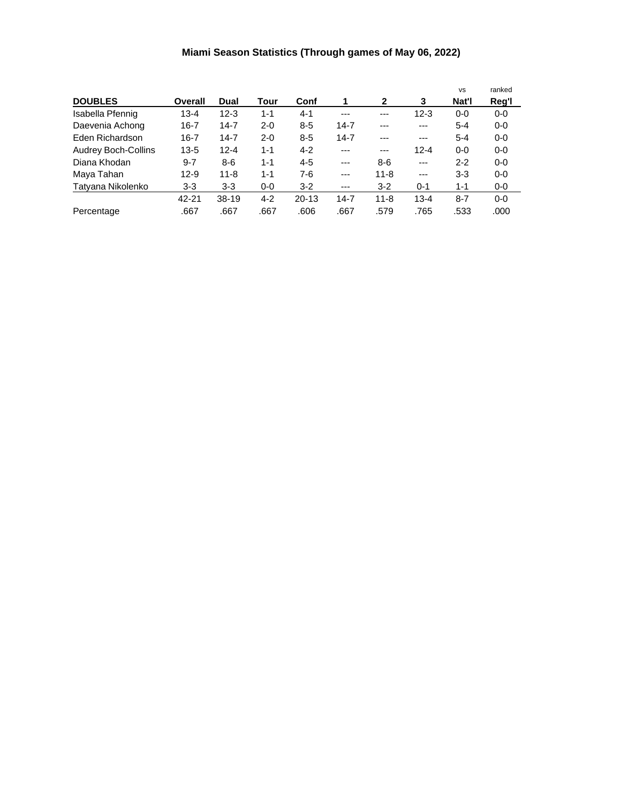# **Miami Season Statistics (Through games of May 06, 2022)**

|                            |          |          |         |           |          |              |          | <b>VS</b> | ranked  |
|----------------------------|----------|----------|---------|-----------|----------|--------------|----------|-----------|---------|
| <b>DOUBLES</b>             | Overall  | Dual     | Tour    | Conf      | 1        | $\mathbf{2}$ | 3        | Nat'l     | Reg'l   |
| Isabella Pfennig           | 13-4     | $12 - 3$ | $1 - 1$ | $4 - 1$   | $---$    | $--$         | $12 - 3$ | $0-0$     | $0-0$   |
| Daevenia Achong            | $16 - 7$ | $14 - 7$ | $2 - 0$ | $8 - 5$   | $14 - 7$ | ---          | $---$    | $5 - 4$   | $0-0$   |
| Eden Richardson            | $16 - 7$ | $14 - 7$ | $2 - 0$ | $8 - 5$   | $14 - 7$ | ---          | $---$    | $5 - 4$   | $0-0$   |
| <b>Audrey Boch-Collins</b> | $13 - 5$ | $12 - 4$ | $1 - 1$ | $4 - 2$   | $---$    | $---$        | $12 - 4$ | $0 - 0$   | $0-0$   |
| Diana Khodan               | $9 - 7$  | $8-6$    | $1 - 1$ | $4 - 5$   | $---$    | $8-6$        | $---$    | $2 - 2$   | $0-0$   |
| Maya Tahan                 | $12 - 9$ | $11 - 8$ | $1 - 1$ | $7-6$     | $---$    | $11 - 8$     | $---$    | $3-3$     | $0 - 0$ |
| Tatyana Nikolenko          | $3-3$    | $3 - 3$  | $0 - 0$ | $3-2$     | ---      | $3 - 2$      | $0 - 1$  | $1 - 1$   | $0-0$   |
|                            | 42-21    | 38-19    | $4 - 2$ | $20 - 13$ | $14 - 7$ | $11 - 8$     | $13 - 4$ | $8 - 7$   | $0-0$   |
| Percentage                 | .667     | .667     | .667    | .606      | .667     | .579         | .765     | .533      | .000    |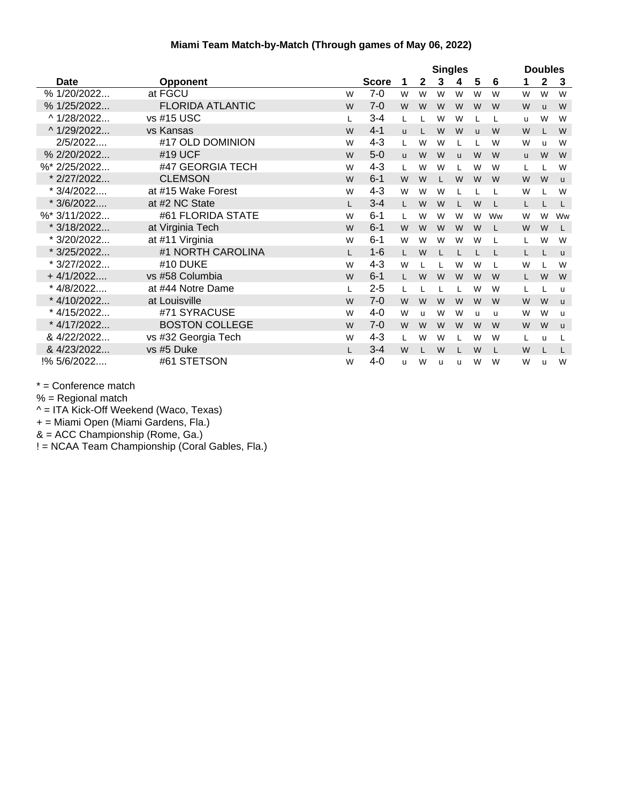#### **Miami Team Match-by-Match (Through games of May 06, 2022)**

|              |                         |    | <b>Singles</b> |              |              |   |          | <b>Doubles</b> |    |              |              |              |
|--------------|-------------------------|----|----------------|--------------|--------------|---|----------|----------------|----|--------------|--------------|--------------|
| Date         | <b>Opponent</b>         |    | <b>Score</b>   | 1            | $\mathbf{2}$ | 3 | 4        | 5              | 6  | 1            | 2            | 3            |
| % 1/20/2022  | at FGCU                 | W  | $7-0$          | W            | W            | W | W        | W              | W  | W            | W            | W            |
| % 1/25/2022  | <b>FLORIDA ATLANTIC</b> | W  | $7 - 0$        | W            | W            | W | W        | W              | W  | W            | $\mathsf{u}$ | W            |
| ^ 1/28/2022  | vs #15 USC              | L  | $3 - 4$        | L            |              | W | W        | L              | L  | u            | W            | W            |
| ^ 1/29/2022  | vs Kansas               | W  | $4 - 1$        | $\mathbf{u}$ |              | W | W        | $\mathbf{u}$   | W  | W            |              | W            |
| 2/5/2022     | #17 OLD DOMINION        | W  | $4 - 3$        | L            | W            | W |          |                | W  | W            | u            | W            |
| % 2/20/2022  | #19 UCF                 | W  | $5-0$          | <b>u</b>     | W            | W | <b>u</b> | W              | W  | $\mathsf{u}$ | W            | W            |
| %* 2/25/2022 | #47 GEORGIA TECH        | W  | $4 - 3$        | L            | W            | W |          | W              | W  | L            |              | W            |
| * 2/27/2022  | <b>CLEMSON</b>          | W  | $6 - 1$        | W            | W            |   | W        | W              | W  | W            | W            | $\mathsf{u}$ |
| * 3/4/2022   | at #15 Wake Forest      | W  | $4 - 3$        | W            | W            | W |          |                |    | W            |              | W            |
| $*3/6/2022$  | at #2 NC State          | I. | $3 - 4$        | L.           | W            | W |          | W              | L  | L            |              | L            |
| %* 3/11/2022 | #61 FLORIDA STATE       | W  | $6 - 1$        | L            | W            | W | W        | W              | Ww | W            | W            | Ww           |
| * 3/18/2022  | at Virginia Tech        | W  | $6 - 1$        | W            | W            | W | W        | W              | L  | W            | W            | L            |
| * 3/20/2022  | at #11 Virginia         | W  | $6 - 1$        | W            | W            | W | W        | W              |    | L            | W            | W            |
| * 3/25/2022  | #1 NORTH CAROLINA       | L  | $1 - 6$        | L.           | W            |   |          |                | L  | L            |              | $\mathsf{u}$ |
| * 3/27/2022  | #10 DUKE                | W  | $4 - 3$        | W            |              |   | W        | W              | L  | W            |              | W            |
| $+4/1/2022$  | vs #58 Columbia         | W  | $6 - 1$        | L.           | W            | W | W        | W              | W  | L.           | W            | W            |
| * 4/8/2022   | at #44 Notre Dame       | L  | $2 - 5$        | L            |              |   |          | W              | W  | L            |              | <b>u</b>     |
| * 4/10/2022  | at Louisville           | W  | $7 - 0$        | W            | W            | W | W        | W              | W  | W            | W            | u            |
| * 4/15/2022  | #71 SYRACUSE            | W  | 4-0            | W            | u            | W | W        | u              | u  | W            | W            | <b>u</b>     |
| * 4/17/2022  | <b>BOSTON COLLEGE</b>   | W  | $7 - 0$        | W            | W            | W | W        | W              | W  | W            | W            | $\mathsf{u}$ |
| & 4/22/2022  | vs #32 Georgia Tech     | W  | $4 - 3$        | L            | W            | W |          | W              | W  | L            | u            | L            |
| & 4/23/2022  | vs #5 Duke              | L  | $3 - 4$        | W            |              | W | L        | W              | L  | W            |              | L            |
| !% 5/6/2022  | #61 STETSON             | W  | 4-0            | u            | W            | u | u        | W              | W  | W            | u            | W            |

\* = Conference match

 $%$  = Regional match

^ = ITA Kick-Off Weekend (Waco, Texas)

+ = Miami Open (Miami Gardens, Fla.)

& = ACC Championship (Rome, Ga.)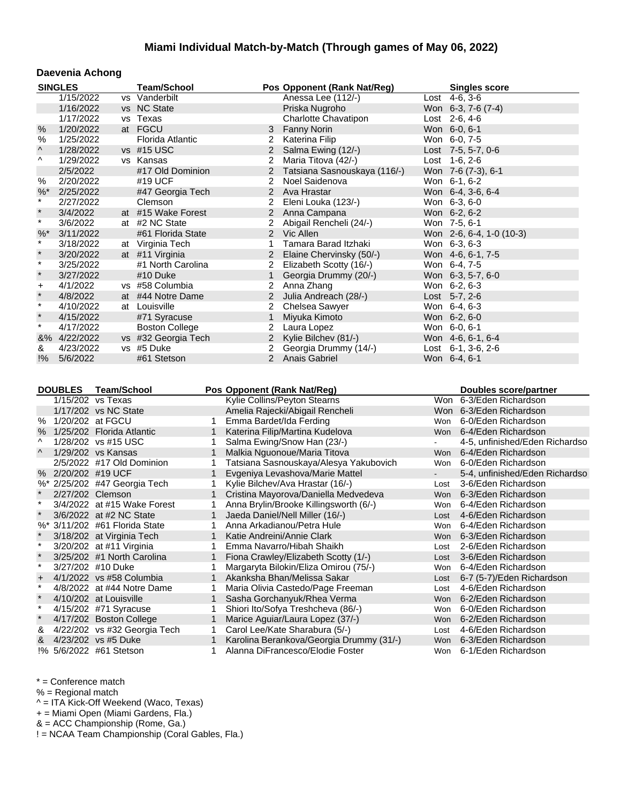#### **Daevenia Achong**

|               | <b>SINGLES</b>                |                    | <b>Team/School</b>           |              |                | Pos Opponent (Rank Nat/Reg)              |                | <b>Singles score</b>           |
|---------------|-------------------------------|--------------------|------------------------------|--------------|----------------|------------------------------------------|----------------|--------------------------------|
|               | 1/15/2022                     |                    | vs Vanderbilt                |              |                | Anessa Lee (112/-)                       |                | Lost 4-6, 3-6                  |
|               | 1/16/2022                     |                    | vs NC State                  |              |                | Priska Nugroho                           |                | Won 6-3, 7-6 (7-4)             |
|               | 1/17/2022                     |                    | vs Texas                     |              |                | Charlotte Chavatipon                     |                | Lost 2-6, 4-6                  |
| %             | 1/20/2022                     |                    | at FGCU                      |              | 3              | <b>Fanny Norin</b>                       |                | Won 6-0, 6-1                   |
| $\%$          | 1/25/2022                     |                    | Florida Atlantic             |              | $2^{\circ}$    | Katerina Filip                           |                | Won 6-0, 7-5                   |
| ۸             | 1/28/2022                     |                    | vs #15 USC                   |              |                | 2 Salma Ewing (12/-)                     |                | Lost 7-5, 5-7, 0-6             |
| ۸             | 1/29/2022                     |                    | vs Kansas                    |              | 2              | Maria Titova (42/-)                      |                | Lost 1-6, 2-6                  |
|               | 2/5/2022                      |                    | #17 Old Dominion             |              | $\overline{c}$ | Tatsiana Sasnouskaya (116/-)             |                | Won 7-6 (7-3), 6-1             |
| $\%$          | 2/20/2022                     |                    | #19 UCF                      |              | 2              | Noel Saidenova                           |                | Won 6-1, 6-2                   |
| %             | 2/25/2022                     |                    | #47 Georgia Tech             |              | $\overline{2}$ | Ava Hrastar                              |                | Won 6-4, 3-6, 6-4              |
| $\star$       | 2/27/2022                     |                    | Clemson                      |              | 2              | Eleni Louka (123/-)                      |                | Won 6-3, 6-0                   |
| $\star$       | 3/4/2022                      |                    | at #15 Wake Forest           |              | $\overline{2}$ | Anna Campana                             |                | Won 6-2, 6-2                   |
| $\star$       | 3/6/2022                      |                    | at #2 NC State               |              | $\overline{2}$ | Abigail Rencheli (24/-)                  |                | Won 7-5, 6-1                   |
| $\%$ $*$      | 3/11/2022                     |                    | #61 Florida State            |              | $2^{\circ}$    | Vic Allen                                |                | Won 2-6, 6-4, 1-0 (10-3)       |
| $\star$       | 3/18/2022                     |                    | at Virginia Tech             |              | 1              | Tamara Barad Itzhaki                     |                | Won 6-3, 6-3                   |
| $\star$       | 3/20/2022                     |                    | at #11 Virginia              |              |                | 2 Elaine Chervinsky (50/-)               |                | Won 4-6, 6-1, 7-5              |
| $\star$       | 3/25/2022                     |                    | #1 North Carolina            |              |                | 2 Elizabeth Scotty (16/-)                |                | Won 6-4, 7-5                   |
| $\star$       | 3/27/2022                     |                    | #10 Duke                     |              | 1              | Georgia Drummy (20/-)                    |                | Won 6-3, 5-7, 6-0              |
| $\ddot{}$     | 4/1/2022                      |                    | vs #58 Columbia              |              | $\mathbf{2}$   | Anna Zhang                               |                | Won 6-2, 6-3                   |
| $\star$       | 4/8/2022                      |                    | at #44 Notre Dame            |              | 2 <sup>1</sup> | Julia Andreach (28/-)                    |                | Lost $5-7, 2-6$                |
| $\star$       | 4/10/2022                     |                    | at Louisville                |              | 2              | Chelsea Sawyer                           |                | Won 6-4, 6-3                   |
| $\star$       | 4/15/2022                     |                    | #71 Syracuse                 |              | $\mathbf{1}$   | Miyuka Kimoto                            |                | Won 6-2, 6-0                   |
| $\star$       | 4/17/2022                     |                    | <b>Boston College</b>        |              | 2              | Laura Lopez                              |                | Won 6-0, 6-1                   |
|               | &% 4/22/2022                  |                    | vs #32 Georgia Tech          |              | 2 <sup>1</sup> | Kylie Bilchev (81/-)                     |                | Won 4-6, 6-1, 6-4              |
| &             | 4/23/2022                     |                    | vs #5 Duke                   |              | $\overline{2}$ | Georgia Drummy (14/-)                    |                | Lost $6-1$ , $3-6$ , $2-6$     |
| $\frac{1}{6}$ | 5/6/2022                      |                    | #61 Stetson                  |              |                | 2 Anais Gabriel                          |                | Won 6-4, 6-1                   |
|               |                               |                    |                              |              |                |                                          |                |                                |
|               | <b>DOUBLES</b>                | <b>Team/School</b> |                              |              |                | Pos Opponent (Rank Nat/Reg)              |                | Doubles score/partner          |
|               | 1/15/202 vs Texas             |                    |                              |              |                | Kylie Collins/Peyton Stearns             |                | Won 6-3/Eden Richardson        |
|               | 1/17/202 vs NC State          |                    |                              |              |                | Amelia Rajecki/Abigail Rencheli          |                | Won 6-3/Eden Richardson        |
| %             | 1/20/202 at FGCU              |                    |                              | 1            |                | Emma Bardet/Ida Ferding                  |                | Won 6-0/Eden Richardson        |
| $\%$          | 1/25/202 Florida Atlantic     |                    |                              | $\mathbf{1}$ |                | Katerina Filip/Martina Kudelova          |                | Won 6-4/Eden Richardson        |
| ۸             | 1/28/202 vs #15 USC           |                    |                              | 1            |                | Salma Ewing/Snow Han (23/-)              | $\blacksquare$ | 4-5, unfinished/Eden Richardso |
| Λ             | 1/29/202 vs Kansas            |                    |                              | 1            |                | Malkia Nguonoue/Maria Titova             | Won            | 6-4/Eden Richardson            |
|               | 2/5/2022 #17 Old Dominion     |                    |                              | 1            |                | Tatsiana Sasnouskaya/Alesya Yakubovich   | Won            | 6-0/Eden Richardson            |
|               | % 2/20/202 #19 UCF            |                    |                              | $\mathbf{1}$ |                | Evgeniya Levashova/Marie Mattel          | $\sim$         | 5-4, unfinished/Eden Richardso |
|               | %* 2/25/202 #47 Georgia Tech  |                    |                              | 1            |                | Kylie Bilchev/Ava Hrastar (16/-)         | Lost           | 3-6/Eden Richardson            |
|               | 2/27/202 Clemson              |                    |                              | $\mathbf{1}$ |                | Cristina Mayorova/Daniella Medvedeva     | Won            | 6-3/Eden Richardson            |
| $\star$       |                               |                    | 3/4/2022 at #15 Wake Forest  | 1.           |                | Anna Brylin/Brooke Killingsworth (6/-)   |                | Won 6-4/Eden Richardson        |
| $\star$       | 3/6/2022 at #2 NC State       |                    |                              | $\mathbf{1}$ |                | Jaeda Daniel/Nell Miller (16/-)          | Lost           | 4-6/Eden Richardson            |
|               | %* 3/11/202 #61 Florida State |                    |                              | 1            |                | Anna Arkadianou/Petra Hule               |                | Won 6-4/Eden Richardson        |
|               | 3/18/202 at Virginia Tech     |                    |                              |              |                | 1 Katie Andreini/Annie Clark             |                | Won 6-3/Eden Richardson        |
| $\star$       | 3/20/202 at #11 Virginia      |                    |                              | 1            |                | Emma Navarro/Hibah Shaikh                | Lost           | 2-6/Eden Richardson            |
| $\star$       | 3/25/202 #1 North Carolina    |                    |                              |              |                | Fiona Crawley/Elizabeth Scotty (1/-)     | Lost           | 3-6/Eden Richardson            |
| $\star$       | 3/27/202 #10 Duke             |                    |                              | 1            |                | Margaryta Bilokin/Eliza Omirou (75/-)    | Won            | 6-4/Eden Richardson            |
| $\ddot{}$     | 4/1/2022 vs #58 Columbia      |                    |                              | $\mathbf{1}$ |                | Akanksha Bhan/Melissa Sakar              | Lost           | 6-7 (5-7)/Eden Richardson      |
| $\star$       | 4/8/2022 at #44 Notre Dame    |                    |                              | 1            |                | Maria Olivia Castedo/Page Freeman        | Lost           | 4-6/Eden Richardson            |
|               | 4/10/202 at Louisville        |                    |                              | 1            |                | Sasha Gorchanyuk/Rhea Verma              | Won            | 6-2/Eden Richardson            |
| $^\star$      | 4/15/202 #71 Syracuse         |                    |                              | 1            |                | Shiori Ito/Sofya Treshcheva (86/-)       | Won            | 6-0/Eden Richardson            |
| $\star$       | 4/17/202 Boston College       |                    |                              | $\mathbf{1}$ |                | Marice Aguiar/Laura Lopez (37/-)         | Won            | 6-2/Eden Richardson            |
| &             |                               |                    | 4/22/202 vs #32 Georgia Tech | 1            |                | Carol Lee/Kate Sharabura (5/-)           | Lost           | 4-6/Eden Richardson            |
| &             | 4/23/202 vs #5 Duke           |                    |                              | 1            |                | Karolina Berankova/Georgia Drummy (31/-) | Won            | 6-3/Eden Richardson            |
|               | !% 5/6/2022 #61 Stetson       |                    |                              |              |                |                                          |                |                                |

\* = Conference match

 $%$  = Regional match

^ = ITA Kick-Off Weekend (Waco, Texas)

+ = Miami Open (Miami Gardens, Fla.)

& = ACC Championship (Rome, Ga.)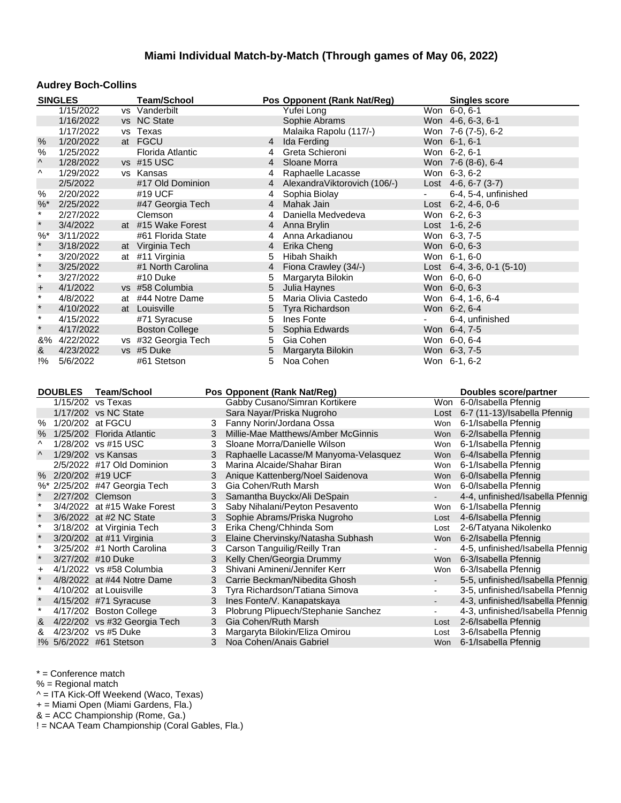#### **Audrey Boch-Collins**

|               | <b>SINGLES</b>     |                                                | <b>Team/School</b>           |        | Pos Opponent (Rank Nat/Reg)                               |                                            | <b>Singles score</b>                         |
|---------------|--------------------|------------------------------------------------|------------------------------|--------|-----------------------------------------------------------|--------------------------------------------|----------------------------------------------|
|               | 1/15/2022          |                                                | vs Vanderbilt                |        | Yufei Long                                                |                                            | Won 6-0, 6-1                                 |
|               | 1/16/2022          |                                                | vs NC State                  |        | Sophie Abrams                                             |                                            | Won 4-6, 6-3, 6-1                            |
|               | 1/17/2022          |                                                | vs Texas                     |        | Malaika Rapolu (117/-)                                    |                                            | Won 7-6 (7-5), 6-2                           |
| $\%$          | 1/20/2022          |                                                | at FGCU                      |        | $\overline{4}$<br>Ida Ferding                             |                                            | Won 6-1, 6-1                                 |
| %             | 1/25/2022          |                                                | Florida Atlantic             |        | Greta Schieroni<br>4                                      |                                            | Won 6-2, 6-1                                 |
| ۸             | 1/28/2022          |                                                | vs #15 USC                   |        | Sloane Morra<br>4                                         |                                            | Won 7-6 (8-6), 6-4                           |
| ۸             | 1/29/2022          |                                                | vs Kansas                    |        | Raphaelle Lacasse<br>4                                    |                                            | Won 6-3, 6-2                                 |
|               | 2/5/2022           |                                                | #17 Old Dominion             |        | AlexandraViktorovich (106/-)<br>4                         |                                            | Lost $4-6, 6-7$ (3-7)                        |
| $\%$          | 2/20/2022          |                                                | #19 UCF                      |        | Sophia Biolay<br>4                                        |                                            | 6-4, 5-4, unfinished                         |
| %             | 2/25/2022          |                                                | #47 Georgia Tech             |        | $\overline{4}$<br>Mahak Jain                              |                                            | Lost $6-2, 4-6, 0-6$                         |
| $\star$       | 2/27/2022          |                                                | Clemson                      |        | Daniella Medvedeva<br>4                                   |                                            | Won 6-2, 6-3                                 |
| $\star$       | 3/4/2022           |                                                | at #15 Wake Forest           |        | Anna Brylin<br>4                                          |                                            | Lost 1-6, 2-6                                |
| $\%$ $*$      | 3/11/2022          |                                                | #61 Florida State            |        | Anna Arkadianou<br>4                                      |                                            | Won 6-3, 7-5                                 |
| $\star$       | 3/18/2022          |                                                | at Virginia Tech             |        | Erika Cheng<br>$\overline{4}$                             |                                            | Won 6-0, 6-3                                 |
| $\star$       | 3/20/2022          |                                                | at #11 Virginia              |        | Hibah Shaikh<br>5                                         |                                            | Won 6-1, 6-0                                 |
| $\star$       | 3/25/2022          |                                                | #1 North Carolina            |        | Fiona Crawley (34/-)<br>4                                 |                                            | Lost $6-4$ , $3-6$ , $0-1$ $(5-10)$          |
| $\star$       | 3/27/2022          |                                                | #10 Duke                     |        | 5<br>Margaryta Bilokin                                    |                                            | Won 6-0, 6-0                                 |
| $\ddot{}$     | 4/1/2022           |                                                | vs #58 Columbia              |        | 5<br>Julia Haynes                                         |                                            | Won 6-0, 6-3                                 |
| $\star$       | 4/8/2022           |                                                | at #44 Notre Dame            |        | 5<br>Maria Olivia Castedo                                 |                                            | Won 6-4, 1-6, 6-4                            |
| $\star$       | 4/10/2022          |                                                | at Louisville                |        | 5<br>Tyra Richardson                                      |                                            | Won 6-2, 6-4                                 |
| $\ast$        | 4/15/2022          |                                                | #71 Syracuse                 |        | Ines Fonte<br>5                                           |                                            | 6-4, unfinished                              |
| $\star$       | 4/17/2022          |                                                | <b>Boston College</b>        |        | 5<br>Sophia Edwards                                       |                                            | Won 6-4, 7-5                                 |
|               | &% 4/22/2022       |                                                | vs #32 Georgia Tech          |        | 5<br>Gia Cohen                                            |                                            | Won 6-0, 6-4                                 |
| &             | 4/23/2022          |                                                | vs #5 Duke                   |        | 5<br>Margaryta Bilokin                                    |                                            | Won 6-3, 7-5                                 |
|               |                    |                                                |                              |        |                                                           |                                            |                                              |
| $\frac{1}{6}$ | 5/6/2022           |                                                | #61 Stetson                  |        | 5<br>Noa Cohen                                            |                                            | Won 6-1, 6-2                                 |
|               | <b>DOUBLES</b>     | <b>Team/School</b><br>1/15/202 vs Texas        |                              |        | Pos Opponent (Rank Nat/Reg)                               |                                            | Doubles score/partner                        |
|               |                    |                                                |                              |        | Gabby Cusano/Simran Kortikere                             |                                            | Won 6-0/Isabella Pfennig                     |
|               |                    | 1/17/202 vs NC State                           |                              |        | Sara Nayar/Priska Nugroho                                 |                                            | Lost 6-7 (11-13)/Isabella Pfennig            |
| $\%$          | % 1/20/202 at FGCU |                                                |                              | 3<br>3 | Fanny Norin/Jordana Ossa                                  |                                            | Won 6-1/Isabella Pfennig                     |
| ۸             |                    | 1/25/202 Florida Atlantic                      |                              |        | Millie-Mae Matthews/Amber McGinnis                        |                                            | Won 6-2/Isabella Pfennig                     |
| Λ             |                    | 1/28/202 vs #15 USC                            |                              | 3      | Sloane Morra/Danielle Wilson                              | Won                                        | 6-1/Isabella Pfennig                         |
|               |                    | 1/29/202 vs Kansas                             |                              | 3      | Raphaelle Lacasse/M Manyoma-Velasquez                     | Won                                        | 6-4/Isabella Pfennig                         |
|               |                    | 2/5/2022 #17 Old Dominion                      |                              | 3      | Marina Alcaide/Shahar Biran                               | Won                                        | 6-1/Isabella Pfennig                         |
|               |                    | % 2/20/202 #19 UCF                             |                              | 3      | Anique Kattenberg/Noel Saidenova                          | Won                                        | 6-0/Isabella Pfennig                         |
|               |                    | %* 2/25/202 #47 Georgia Tech                   |                              | 3      | Gia Cohen/Ruth Marsh                                      | Won<br>$\sim$                              | 6-0/Isabella Pfennig                         |
| $\cdot$       | 2/27/202 Clemson   |                                                |                              | 3      | Samantha Buyckx/Ali DeSpain                               |                                            | 4-4, unfinished/Isabella Pfennig             |
| $\star$       |                    |                                                | 3/4/2022 at #15 Wake Forest  | 3      | Saby Nihalani/Peyton Pesavento                            |                                            | Won 6-1/Isabella Pfennig                     |
| $\star$       |                    | 3/6/2022 at #2 NC State                        |                              | 3      | Sophie Abrams/Priska Nugroho                              | Lost                                       | 4-6/Isabella Pfennig                         |
| $\star$       |                    | 3/18/202 at Virginia Tech                      |                              | 3      | Erika Cheng/Chhinda Som                                   | Lost                                       | 2-6/Tatyana Nikolenko                        |
| $\star$       |                    | 3/20/202 at #11 Virginia                       |                              | 3      | Elaine Chervinsky/Natasha Subhash                         | Won                                        | 6-2/Isabella Pfennig                         |
| $\star$       |                    | 3/25/202 #1 North Carolina                     |                              | 3      | Carson Tanguilig/Reilly Tran                              |                                            | 4-5, unfinished/Isabella Pfennig             |
|               |                    | 3/27/202 #10 Duke                              |                              |        | Kelly Chen/Georgia Drummy                                 | Won                                        | 6-3/Isabella Pfennig                         |
| +<br>$\star$  |                    | 4/1/2022 vs #58 Columbia                       |                              | 3      | Shivani Amineni/Jennifer Kerr                             | Won                                        | 6-3/Isabella Pfennig                         |
| $\ast$        |                    |                                                | 4/8/2022 at #44 Notre Dame   | 3      | Carrie Beckman/Nibedita Ghosh                             | $\blacksquare$                             | 5-5, unfinished/Isabella Pfennig             |
| $\star$       |                    | 4/10/202 at Louisville                         |                              | 3      | Tyra Richardson/Tatiana Simova                            | $\blacksquare$<br>$\overline{\phantom{a}}$ | 3-5, unfinished/Isabella Pfennig             |
| $\ast$        |                    | 4/15/202 #71 Syracuse                          |                              | 3      | Ines Fonte/V. Kanapatskaya                                |                                            | 4-3, unfinished/Isabella Pfennig             |
|               |                    | 4/17/202 Boston College                        |                              | 3      | Plobrung Plipuech/Stephanie Sanchez                       | $\blacksquare$                             | 4-3, unfinished/Isabella Pfennig             |
| &             |                    |                                                | 4/22/202 vs #32 Georgia Tech | 3      | Gia Cohen/Ruth Marsh                                      | Lost                                       | 2-6/Isabella Pfennig                         |
| &             |                    | 4/23/202 vs #5 Duke<br>!% 5/6/2022 #61 Stetson |                              | 3<br>3 | Margaryta Bilokin/Eliza Omirou<br>Noa Cohen/Anais Gabriel | Lost<br>Won                                | 3-6/Isabella Pfennig<br>6-1/Isabella Pfennig |

\* = Conference match

% = Regional match

^ = ITA Kick-Off Weekend (Waco, Texas)

+ = Miami Open (Miami Gardens, Fla.)

& = ACC Championship (Rome, Ga.)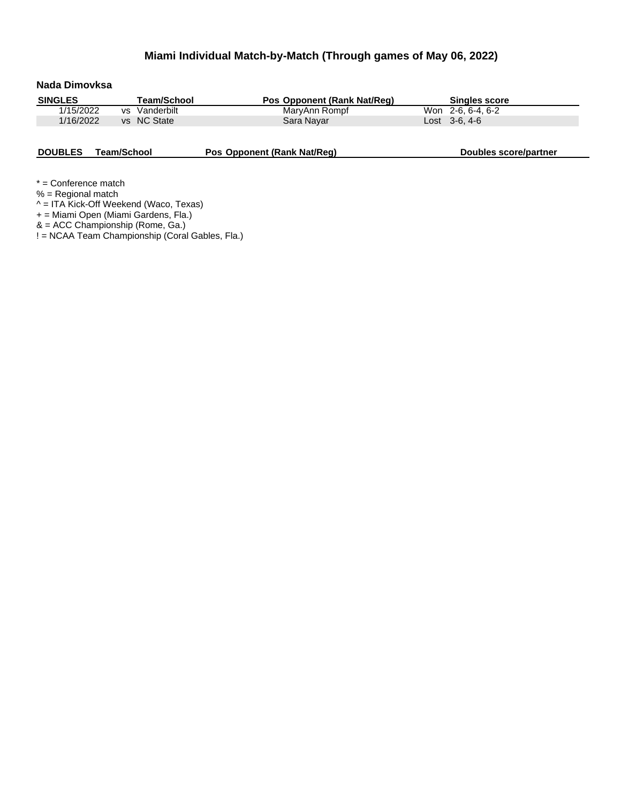| Nada Dimovksa  |                    |                             |                       |
|----------------|--------------------|-----------------------------|-----------------------|
| <b>SINGLES</b> | <b>Team/School</b> | Pos Opponent (Rank Nat/Req) | <b>Singles score</b>  |
| 1/15/2022      | Vanderbilt<br>VS.  | MaryAnn Rompf               | Won 2-6, 6-4, 6-2     |
| 1/16/2022      | vs NC State        | Sara Nayar                  | $Last \, 3-6.4-6$     |
| <b>DOUBLES</b> | Team/School        | Pos Opponent (Rank Nat/Req) | Doubles score/partner |

\* = Conference match

% = Regional match

^ = ITA Kick-Off Weekend (Waco, Texas)

+ = Miami Open (Miami Gardens, Fla.)

& = ACC Championship (Rome, Ga.)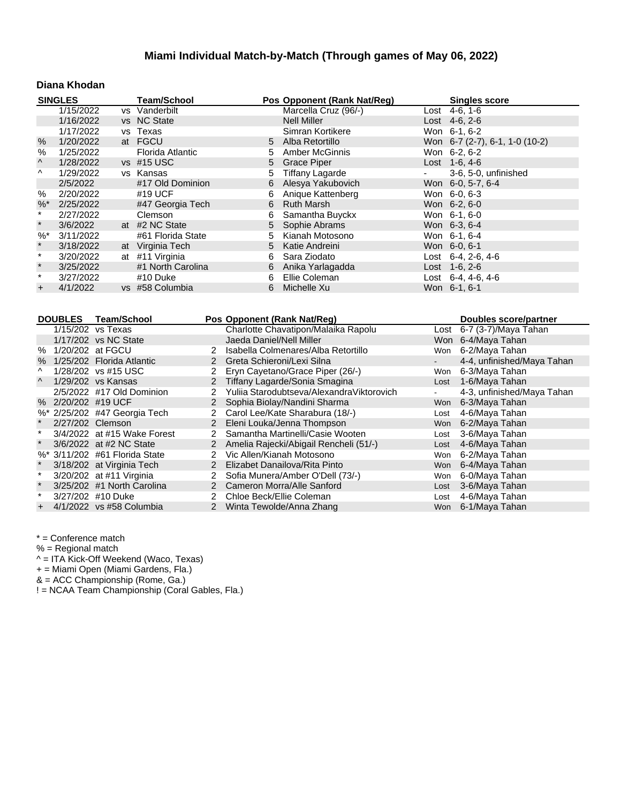## **Diana Khodan**

|                       | <b>SINGLES</b> |    | <b>Team/School</b> |    | Pos Opponent (Rank Nat/Reg) | <b>Singles score</b>           |
|-----------------------|----------------|----|--------------------|----|-----------------------------|--------------------------------|
|                       | 1/15/2022      |    | vs Vanderbilt      |    | Marcella Cruz (96/-)        | Lost $4-6, 1-6$                |
|                       | 1/16/2022      |    | vs NC State        |    | <b>Nell Miller</b>          | Lost $4-6, 2-6$                |
|                       | 1/17/2022      |    | vs Texas           |    | Simran Kortikere            | Won 6-1, 6-2                   |
| $\%$                  | 1/20/2022      |    | at FGCU            |    | 5 Alba Retortillo           | Won 6-7 (2-7), 6-1, 1-0 (10-2) |
| %                     | 1/25/2022      |    | Florida Atlantic   | 5. | <b>Amber McGinnis</b>       | Won 6-2, 6-2                   |
| $\boldsymbol{\wedge}$ | 1/28/2022      |    | vs #15 USC         |    | 5 Grace Piper               | Lost 1-6, 4-6                  |
| $\wedge$              | 1/29/2022      |    | vs Kansas          | 5  | <b>Tiffany Lagarde</b>      | 3-6, 5-0, unfinished           |
|                       | 2/5/2022       |    | #17 Old Dominion   | 6  | Alesya Yakubovich           | Won 6-0, 5-7, 6-4              |
| %                     | 2/20/2022      |    | #19 UCF            | 6  | Anique Kattenberg           | Won 6-0, 6-3                   |
| $\%$ <sup>*</sup>     | 2/25/2022      |    | #47 Georgia Tech   | 6  | <b>Ruth Marsh</b>           | Won 6-2, 6-0                   |
| $\ast$                | 2/27/2022      |    | Clemson            | 6  | Samantha Buyckx             | Won 6-1, 6-0                   |
| $^{\star}$            | 3/6/2022       |    | at #2 NC State     |    | 5 Sophie Abrams             | Won 6-3, 6-4                   |
| $\%^*$                | 3/11/2022      |    | #61 Florida State  | 5  | Kianah Motosono             | Won 6-1, 6-4                   |
| $^{\star}$            | 3/18/2022      |    | at Virginia Tech   | 5. | Katie Andreini              | Won 6-0, 6-1                   |
| $\star$               | 3/20/2022      | at | #11 Virginia       | 6  | Sara Ziodato                | Lost $6-4$ , 2 $-6$ , 4 $-6$   |
| $^{\star}$            | 3/25/2022      |    | #1 North Carolina  | 6  | Anika Yarlagadda            | Lost 1-6, 2-6                  |
| $\pmb{\ast}$          | 3/27/2022      |    | #10 Duke           | 6  | Ellie Coleman               | Lost $6-4, 4-6, 4-6$           |
| $+$                   | 4/1/2022       |    | vs #58 Columbia    | 6  | Michelle Xu                 | Won 6-1, 6-1                   |

|   | <b>DOUBLES</b>     | Team/School                   |               | Pos Opponent (Rank Nat/Req)               |      | Doubles score/partner      |
|---|--------------------|-------------------------------|---------------|-------------------------------------------|------|----------------------------|
|   |                    | 1/15/202 vs Texas             |               | Charlotte Chavatipon/Malaika Rapolu       |      | Lost 6-7 (3-7)/Maya Tahan  |
|   |                    | 1/17/202 vs NC State          |               | Jaeda Daniel/Nell Miller                  |      | Won 6-4/Maya Tahan         |
| % |                    | 1/20/202 at FGCU              | 2             | Isabella Colmenares/Alba Retortillo       | Won  | 6-2/Maya Tahan             |
| % |                    | 1/25/202 Florida Atlantic     | 2             | Greta Schieroni/Lexi Silna                |      | 4-4, unfinished/Maya Tahan |
| Λ |                    | 1/28/202 vs #15 USC           | 2             | Eryn Cayetano/Grace Piper (26/-)          | Won  | 6-3/Maya Tahan             |
| Λ |                    | 1/29/202 vs Kansas            | 2             | Tiffany Lagarde/Sonia Smagina             |      | Lost 1-6/Maya Tahan        |
|   |                    | 2/5/2022 #17 Old Dominion     | 2             | Yulija Starodubtseva/AlexandraViktorovich |      | 4-3, unfinished/Maya Tahan |
|   | % 2/20/202 #19 UCF |                               | 2             | Sophia Biolay/Nandini Sharma              |      | Won 6-3/Maya Tahan         |
|   |                    | %* 2/25/202 #47 Georgia Tech  | $\mathbf{2}$  | Carol Lee/Kate Sharabura (18/-)           | Lost | 4-6/Maya Tahan             |
|   |                    | 2/27/202 Clemson              | $\mathcal{P}$ | Eleni Louka/Jenna Thompson                |      | Won 6-2/Maya Tahan         |
|   |                    | 3/4/2022 at #15 Wake Forest   | $\mathcal{P}$ | Samantha Martinelli/Casie Wooten          | Lost | 3-6/Maya Tahan             |
|   |                    | 3/6/2022 at #2 NC State       |               | 2 Amelia Rajecki/Abigail Rencheli (51/-)  |      | Lost 4-6/Maya Tahan        |
|   |                    | %* 3/11/202 #61 Florida State | 2             | Vic Allen/Kianah Motosono                 |      | Won 6-2/Maya Tahan         |
|   |                    | 3/18/202 at Virginia Tech     | $\mathbf{2}$  | Elizabet Danailova/Rita Pinto             |      | Won 6-4/Maya Tahan         |
|   |                    | 3/20/202 at #11 Virginia      | 2             | Sofia Munera/Amber O'Dell (73/-)          |      | Won 6-0/Maya Tahan         |
|   |                    | 3/25/202 #1 North Carolina    | 2             | Cameron Morra/Alle Sanford                |      | Lost 3-6/Maya Tahan        |
|   |                    | 3/27/202 #10 Duke             | 2             | Chloe Beck/Ellie Coleman                  |      | Lost 4-6/Maya Tahan        |
|   |                    | 4/1/2022 vs #58 Columbia      | $\mathbf{2}$  | Winta Tewolde/Anna Zhang                  |      | Won 6-1/Maya Tahan         |

\* = Conference match

% = Regional match

^ = ITA Kick-Off Weekend (Waco, Texas)

+ = Miami Open (Miami Gardens, Fla.)

& = ACC Championship (Rome, Ga.)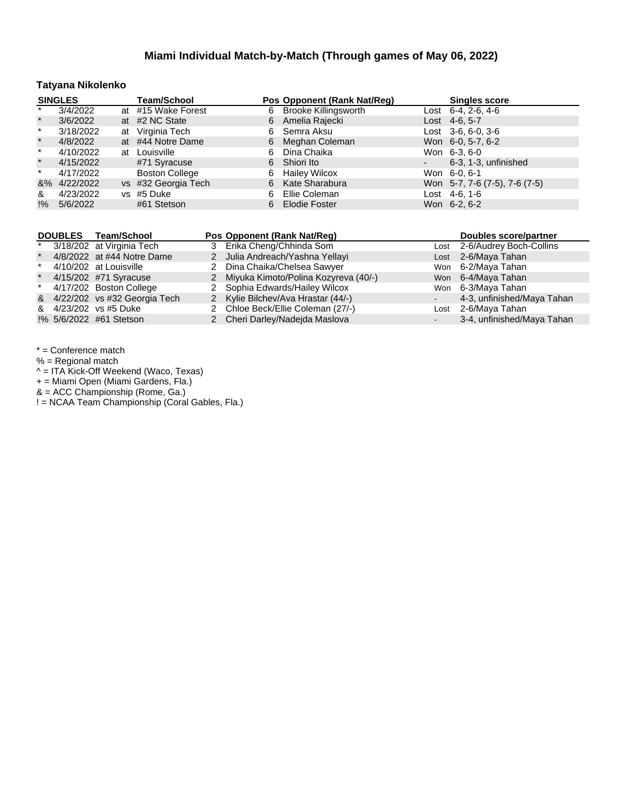## **Tatyana Nikolenko**

|         | <b>SINGLES</b> | <b>Team/School</b>    |    | Pos Opponent (Rank Nat/Reg) |                          | <b>Singles score</b>          |
|---------|----------------|-----------------------|----|-----------------------------|--------------------------|-------------------------------|
| $\ast$  | 3/4/2022       | at #15 Wake Forest    |    | 6 Brooke Killingsworth      |                          | Lost $6-4$ , 2 $-6$ , 4 $-6$  |
| $\star$ | 3/6/2022       | at #2 NC State        |    | 6 Amelia Rajecki            |                          | Lost 4-6, 5-7                 |
| $\star$ | 3/18/2022      | at Virginia Tech      | 6. | Semra Aksu                  |                          | Lost $3-6, 6-0, 3-6$          |
| $\star$ | 4/8/2022       | at #44 Notre Dame     | 6  | Meghan Coleman              |                          | Won 6-0, 5-7, 6-2             |
| $\star$ | 4/10/2022      | at Louisville         | 6. | Dina Chaika                 |                          | Won 6-3, 6-0                  |
| $\star$ | 4/15/2022      | #71 Syracuse          |    | 6 Shiori Ito                | $\overline{\phantom{a}}$ | 6-3, 1-3, unfinished          |
| $\star$ | 4/17/2022      | <b>Boston College</b> | 6  | <b>Hailey Wilcox</b>        |                          | Won 6-0, 6-1                  |
|         | &% 4/22/2022   | vs #32 Georgia Tech   | 6  | Kate Sharabura              |                          | Won 5-7, 7-6 (7-5), 7-6 (7-5) |
| &       | 4/23/2022      | vs #5 Duke            | 6. | Ellie Coleman               |                          | Lost 4-6, 1-6                 |
| !%      | 5/6/2022       | #61 Stetson           | 6. | <b>Elodie Foster</b>        |                          | Won 6-2, 6-2                  |

|         | DOUBLES Team/School            | Pos Opponent (Rank Nat/Reg)            | Doubles score/partner        |
|---------|--------------------------------|----------------------------------------|------------------------------|
| $\star$ | 3/18/202 at Virginia Tech      | 3 Erika Cheng/Chhinda Som              | Lost 2-6/Audrey Boch-Collins |
| $\star$ | 4/8/2022 at #44 Notre Dame     | 2 Julia Andreach/Yashna Yellayi        | Lost 2-6/Maya Tahan          |
| $\star$ | 4/10/202 at Louisville         | 2 Dina Chaika/Chelsea Sawyer           | Won 6-2/Maya Tahan           |
| $\star$ | 4/15/202 #71 Syracuse          | 2 Miyuka Kimoto/Polina Kozyreva (40/-) | Won 6-4/Maya Tahan           |
|         | * 4/17/202 Boston College      | 2 Sophia Edwards/Hailey Wilcox         | Won 6-3/Maya Tahan           |
|         | & 4/22/202 vs #32 Georgia Tech | 2 Kylie Bilchev/Ava Hrastar (44/-)     | 4-3, unfinished/Maya Tahan   |
|         | & 4/23/202 vs #5 Duke          | 2 Chloe Beck/Ellie Coleman (27/-)      | Lost 2-6/Maya Tahan          |
|         | !% 5/6/2022 #61 Stetson        | 2 Cheri Darley/Nadejda Maslova         | 3-4, unfinished/Maya Tahan   |

\* = Conference match

% = Regional match

^ = ITA Kick-Off Weekend (Waco, Texas)

+ = Miami Open (Miami Gardens, Fla.)

& = ACC Championship (Rome, Ga.)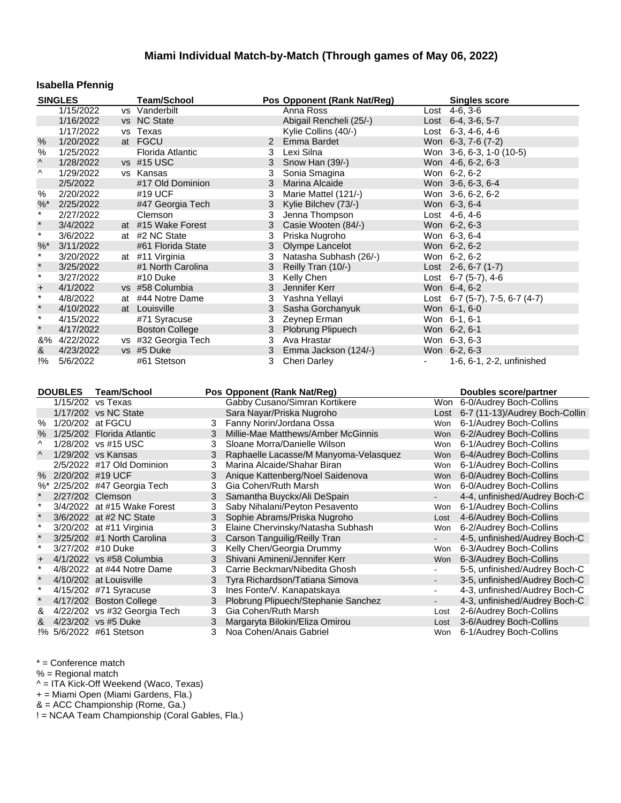## **Isabella Pfennig**

|               | <b>SINGLES</b> |                              | <b>Team/School</b>           |   | Pos Opponent (Rank Nat/Reg)                                 |                          | <b>Singles score</b>                               |
|---------------|----------------|------------------------------|------------------------------|---|-------------------------------------------------------------|--------------------------|----------------------------------------------------|
|               | 1/15/2022      |                              | vs Vanderbilt                |   | Anna Ross                                                   |                          | Lost $4-6, 3-6$                                    |
|               | 1/16/2022      |                              | vs NC State                  |   | Abigail Rencheli (25/-)                                     |                          | Lost $6-4$ , $3-6$ , $5-7$                         |
|               | 1/17/2022      |                              | vs Texas                     |   | Kylie Collins (40/-)                                        |                          | Lost 6-3, 4-6, 4-6                                 |
| $\%$          | 1/20/2022      |                              | at FGCU                      |   | $\mathbf{2}$<br>Emma Bardet                                 |                          | Won 6-3, 7-6 (7-2)                                 |
| %             | 1/25/2022      |                              | Florida Atlantic             |   | Lexi Silna<br>3                                             |                          | Won 3-6, 6-3, 1-0 (10-5)                           |
| ۸             | 1/28/2022      |                              | vs #15 USC                   |   | 3<br>Snow Han (39/-)                                        |                          | Won 4-6, 6-2, 6-3                                  |
| Λ             | 1/29/2022      |                              | vs Kansas                    |   | Sonia Smagina<br>3                                          |                          | Won 6-2, 6-2                                       |
|               | 2/5/2022       |                              | #17 Old Dominion             |   | 3<br>Marina Alcaide                                         |                          | Won 3-6, 6-3, 6-4                                  |
| $\%$          | 2/20/2022      |                              | #19 UCF                      |   | 3<br>Marie Mattel (121/-)                                   |                          | Won 3-6, 6-2, 6-2                                  |
| %             | 2/25/2022      |                              | #47 Georgia Tech             |   | 3<br>Kylie Bilchev (73/-)                                   |                          | Won 6-3, 6-4                                       |
| $\star$       | 2/27/2022      |                              | Clemson                      |   | 3<br>Jenna Thompson                                         |                          | Lost 4-6, 4-6                                      |
| $\star$       | 3/4/2022       |                              | at #15 Wake Forest           |   | 3<br>Casie Wooten (84/-)                                    |                          | Won 6-2, 6-3                                       |
| $\star$       | 3/6/2022       |                              | at #2 NC State               |   | Priska Nugroho<br>3                                         |                          | Won 6-3, 6-4                                       |
| %             | 3/11/2022      |                              | #61 Florida State            |   | 3<br>Olympe Lancelot                                        |                          | Won 6-2, 6-2                                       |
| $^{\star}$    | 3/20/2022      |                              | at #11 Virginia              |   | Natasha Subhash (26/-)<br>3                                 |                          | Won 6-2, 6-2                                       |
| $\star$       | 3/25/2022      |                              | #1 North Carolina            |   | 3<br>Reilly Tran (10/-)                                     |                          | Lost 2-6, 6-7 (1-7)                                |
| $\star$       | 3/27/2022      |                              | #10 Duke                     |   | 3<br>Kelly Chen                                             |                          | Lost 6-7 (5-7), 4-6                                |
| $\ddot{}$     | 4/1/2022       |                              | vs #58 Columbia              |   | 3<br>Jennifer Kerr                                          |                          | Won 6-4, 6-2                                       |
| $\star$       | 4/8/2022       |                              | at #44 Notre Dame            |   | 3<br>Yashna Yellayi                                         |                          | Lost 6-7 (5-7), 7-5, 6-7 (4-7)                     |
| $\star$       | 4/10/2022      |                              | at Louisville                |   | 3<br>Sasha Gorchanyuk                                       |                          | Won 6-1, 6-0                                       |
| $\star$       | 4/15/2022      |                              | #71 Syracuse                 |   | Zeynep Erman<br>3                                           |                          | Won 6-1, 6-1                                       |
| $\star$       | 4/17/2022      |                              | <b>Boston College</b>        |   | 3<br>Plobrung Plipuech                                      |                          | Won 6-2, 6-1                                       |
|               | &% 4/22/2022   |                              | vs #32 Georgia Tech          |   | 3<br>Ava Hrastar                                            |                          | Won 6-3, 6-3                                       |
| &             | 4/23/2022      |                              | vs #5 Duke                   |   | 3<br>Emma Jackson (124/-)                                   |                          | Won 6-2, 6-3                                       |
| $\frac{1}{6}$ | 5/6/2022       |                              |                              |   |                                                             |                          |                                                    |
|               |                |                              | #61 Stetson                  |   | <b>Cheri Darley</b><br>3                                    |                          |                                                    |
|               |                |                              |                              |   |                                                             |                          | 1-6, 6-1, 2-2, unfinished                          |
|               |                |                              |                              |   |                                                             |                          |                                                    |
|               | <b>DOUBLES</b> | <b>Team/School</b>           |                              |   | Pos Opponent (Rank Nat/Reg)                                 |                          | <b>Doubles score/partner</b>                       |
|               |                | 1/15/202 vs Texas            |                              |   | Gabby Cusano/Simran Kortikere                               |                          | Won 6-0/Audrey Boch-Collins                        |
|               |                | 1/17/202 vs NC State         |                              |   | Sara Nayar/Priska Nugroho                                   |                          | Lost 6-7 (11-13)/Audrey Boch-Collin                |
|               |                | % 1/20/202 at FGCU           |                              | 3 | Fanny Norin/Jordana Ossa                                    |                          | Won 6-1/Audrey Boch-Collins                        |
| $\%$          |                | 1/25/202 Florida Atlantic    |                              | 3 | Millie-Mae Matthews/Amber McGinnis                          | Won                      | 6-2/Audrey Boch-Collins                            |
| ۸             |                | 1/28/202 vs #15 USC          |                              | 3 | Sloane Morra/Danielle Wilson                                | Won                      | 6-1/Audrey Boch-Collins                            |
| Λ             |                | 1/29/202 vs Kansas           |                              | 3 | Raphaelle Lacasse/M Manyoma-Velasquez                       |                          | Won 6-4/Audrey Boch-Collins                        |
|               |                | 2/5/2022 #17 Old Dominion    |                              | 3 | Marina Alcaide/Shahar Biran                                 | Won                      | 6-1/Audrey Boch-Collins                            |
| %             |                | 2/20/202 #19 UCF             |                              | 3 | Anique Kattenberg/Noel Saidenova                            | Won                      | 6-0/Audrey Boch-Collins                            |
|               |                | %* 2/25/202 #47 Georgia Tech |                              | 3 | Gia Cohen/Ruth Marsh                                        | Won                      | 6-0/Audrey Boch-Collins                            |
| $\star$       |                | 2/27/202 Clemson             |                              | 3 | Samantha Buyckx/Ali DeSpain                                 |                          | 4-4, unfinished/Audrey Boch-C                      |
| $\pmb{\ast}$  |                |                              | 3/4/2022 at #15 Wake Forest  | 3 | Saby Nihalani/Peyton Pesavento                              | Won                      | 6-1/Audrey Boch-Collins                            |
| $\star$       |                | 3/6/2022 at #2 NC State      |                              | 3 | Sophie Abrams/Priska Nugroho                                | Lost                     | 4-6/Audrey Boch-Collins                            |
| $\star$       |                | 3/20/202 at #11 Virginia     |                              | 3 | Elaine Chervinsky/Natasha Subhash                           | Won                      | 6-2/Audrey Boch-Collins                            |
| $\star$       |                | 3/25/202 #1 North Carolina   |                              | 3 |                                                             | $\sim$                   | 4-5, unfinished/Audrey Boch-C                      |
| $\star$       |                | 3/27/202 #10 Duke            |                              | 3 | Carson Tanguilig/Reilly Tran<br>Kelly Chen/Georgia Drummy   | Won                      | 6-3/Audrey Boch-Collins                            |
| $\ddot{}$     |                | 4/1/2022 vs #58 Columbia     |                              |   | Shivani Amineni/Jennifer Kerr                               |                          | Won 6-3/Audrey Boch-Collins                        |
| $\star$       |                | 4/8/2022 at #44 Notre Dame   |                              | 3 | Carrie Beckman/Nibedita Ghosh                               |                          | 5-5, unfinished/Audrey Boch-C                      |
| $\star$       |                | 4/10/202 at Louisville       |                              | 3 |                                                             | $\overline{\phantom{a}}$ |                                                    |
| $\star$       |                |                              |                              | 3 | Tyra Richardson/Tatiana Simova                              | $\blacksquare$           | 3-5, unfinished/Audrey Boch-C                      |
| $\star$       |                | 4/15/202 #71 Syracuse        |                              | 3 | Ines Fonte/V. Kanapatskaya                                  | $\blacksquare$           | 4-3, unfinished/Audrey Boch-C                      |
| &             |                | 4/17/202 Boston College      |                              | 3 | Plobrung Plipuech/Stephanie Sanchez<br>Gia Cohen/Ruth Marsh | Lost                     | 4-3, unfinished/Audrey Boch-C                      |
| &             |                | 4/23/202 vs #5 Duke          | 4/22/202 vs #32 Georgia Tech | 3 | Margaryta Bilokin/Eliza Omirou                              | Lost                     | 2-6/Audrey Boch-Collins<br>3-6/Audrey Boch-Collins |

\* = Conference match

% = Regional match

^ = ITA Kick-Off Weekend (Waco, Texas)

+ = Miami Open (Miami Gardens, Fla.)

& = ACC Championship (Rome, Ga.)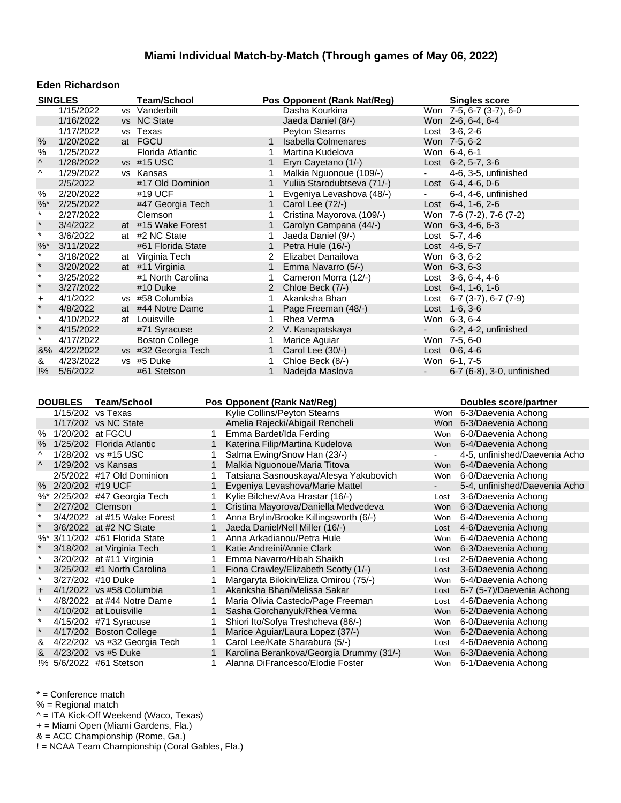#### **Eden Richardson**

|                      | <b>SINGLES</b>                                   |                    | <b>Team/School</b>           |                                         | Pos Opponent (Rank Nat/Reg)                                                |                | <b>Singles score</b>                       |
|----------------------|--------------------------------------------------|--------------------|------------------------------|-----------------------------------------|----------------------------------------------------------------------------|----------------|--------------------------------------------|
|                      | 1/15/2022                                        |                    | vs Vanderbilt                |                                         | Dasha Kourkina                                                             |                | $\overline{W}$ on 7-5, 6-7 (3-7), 6-0      |
|                      | 1/16/2022                                        |                    | vs NC State                  |                                         | Jaeda Daniel (8/-)                                                         |                | Won 2-6, 6-4, 6-4                          |
|                      | 1/17/2022                                        |                    | vs Texas                     |                                         | <b>Peyton Stearns</b>                                                      |                | Lost 3-6, 2-6                              |
| $\%$                 | 1/20/2022                                        |                    | at FGCU                      | 1                                       | <b>Isabella Colmenares</b>                                                 |                | Won 7-5, 6-2                               |
| %                    | 1/25/2022                                        |                    | Florida Atlantic             | 1                                       | Martina Kudelova                                                           |                | Won 6-4, 6-1                               |
| ۸                    | 1/28/2022                                        |                    | vs #15 USC                   | 1                                       | Eryn Cayetano (1/-)                                                        |                | Lost 6-2, 5-7, 3-6                         |
| ۸                    | 1/29/2022                                        |                    | vs Kansas                    | 1                                       | Malkia Nguonoue (109/-)                                                    | $\blacksquare$ | 4-6, 3-5, unfinished                       |
|                      | 2/5/2022                                         |                    | #17 Old Dominion             | 1                                       | Yuliia Starodubtseva (71/-)                                                |                | Lost $6-4, 4-6, 0-6$                       |
| $\%$                 | 2/20/2022                                        |                    | #19 UCF                      | 1                                       | Evgeniya Levashova (48/-)                                                  |                | 6-4, 4-6, unfinished                       |
| $%$ *                | 2/25/2022                                        |                    | #47 Georgia Tech             | $\mathbf{1}$                            | Carol Lee (72/-)                                                           |                | Lost $6-4$ , 1-6, 2-6                      |
| $\star$              | 2/27/2022                                        |                    | Clemson                      | 1                                       | Cristina Mayorova (109/-)                                                  |                | Won 7-6 (7-2), 7-6 (7-2)                   |
| $\star$              | 3/4/2022                                         |                    | at #15 Wake Forest           | $\mathbf 1$                             | Carolyn Campana (44/-)                                                     |                | Won 6-3, 4-6, 6-3                          |
| $\star$              | 3/6/2022                                         |                    | at #2 NC State               | 1                                       | Jaeda Daniel (9/-)                                                         |                | Lost 5-7, 4-6                              |
| $%$ *                | 3/11/2022                                        |                    | #61 Florida State            | $\mathbf{1}$                            | Petra Hule (16/-)                                                          |                | Lost 4-6, 5-7                              |
| $\star$              | 3/18/2022                                        |                    | at Virginia Tech             | 2                                       | Elizabet Danailova                                                         |                | Won 6-3, 6-2                               |
| $\star$              | 3/20/2022                                        |                    | at #11 Virginia              | $\mathbf{1}$                            | Emma Navarro (5/-)                                                         |                | Won 6-3, 6-3                               |
| $\star$              | 3/25/2022                                        |                    | #1 North Carolina            | 1                                       | Cameron Morra (12/-)                                                       |                | Lost $3-6, 6-4, 4-6$                       |
| $\star$              | 3/27/2022                                        |                    | #10 Duke                     | $\overline{2}$                          | Chloe Beck (7/-)                                                           |                | Lost 6-4, 1-6, 1-6                         |
| $\pmb{+}$            | 4/1/2022                                         |                    | vs #58 Columbia              | 1                                       | Akanksha Bhan                                                              |                | Lost 6-7 $(3-7)$ , 6-7 $(7-9)$             |
| $\star$              | 4/8/2022                                         |                    | at #44 Notre Dame            | $\mathbf{1}$                            | Page Freeman (48/-)                                                        |                | Lost $1-6, 3-6$                            |
| $\star$              | 4/10/2022                                        |                    | at Louisville                | 1                                       | Rhea Verma                                                                 |                | Won 6-3, 6-4                               |
| $\star$              | 4/15/2022                                        |                    | #71 Syracuse                 | $\overline{2}$                          | V. Kanapatskaya                                                            |                | 6-2, 4-2, unfinished                       |
| $\star$              | 4/17/2022                                        |                    | <b>Boston College</b>        | 1                                       | Marice Aguiar                                                              |                | Won 7-5, 6-0                               |
|                      | &% 4/22/2022                                     |                    | vs #32 Georgia Tech          | $\mathbf{1}$                            | Carol Lee (30/-)                                                           |                | Lost 0-6, 4-6                              |
| &                    | 4/23/2022                                        |                    | vs #5 Duke                   | 1                                       | Chloe Beck (8/-)                                                           |                | Won 6-1, 7-5                               |
|                      |                                                  |                    |                              |                                         |                                                                            |                |                                            |
| !%                   | 5/6/2022                                         |                    | #61 Stetson                  | 1                                       | Nadejda Maslova                                                            |                | 6-7 (6-8), 3-0, unfinished                 |
|                      | <b>DOUBLES</b>                                   | <b>Team/School</b> |                              | Pos Opponent (Rank Nat/Reg)             |                                                                            |                | <b>Doubles score/partner</b>               |
|                      | 1/15/202 vs Texas<br>1/17/202 vs NC State        |                    |                              |                                         | Kylie Collins/Peyton Stearns                                               |                | Won 6-3/Daevenia Achong                    |
|                      | % 1/20/202 at FGCU                               |                    |                              | $\mathbf{1}$                            | Amelia Rajecki/Abigail Rencheli                                            |                | Won 6-3/Daevenia Achong                    |
| $\%$                 |                                                  |                    |                              | Emma Bardet/Ida Ferding<br>$\mathbf{1}$ |                                                                            |                | Won 6-0/Daevenia Achong                    |
| Λ                    | 1/25/202 Florida Atlantic<br>1/28/202 vs #15 USC |                    |                              | 1                                       | Katerina Filip/Martina Kudelova                                            |                | Won 6-4/Daevenia Achong                    |
| Λ                    |                                                  |                    |                              | $\mathbf{1}$                            | Salma Ewing/Snow Han (23/-)                                                | Won            | 4-5, unfinished/Daevenia Acho              |
|                      | 1/29/202 vs Kansas<br>2/5/2022 #17 Old Dominion  |                    |                              | 1                                       | Malkia Nguonoue/Maria Titova                                               | Won            | 6-4/Daevenia Achong                        |
|                      |                                                  |                    |                              | $\mathbf{1}$                            | Tatsiana Sasnouskaya/Alesya Yakubovich                                     | $\sim$         | 6-0/Daevenia Achong                        |
|                      | % 2/20/202 #19 UCF                               |                    |                              | 1                                       | Evgeniya Levashova/Marie Mattel                                            | Lost           | 5-4, unfinished/Daevenia Acho              |
| $\star$              | %* 2/25/202 #47 Georgia Tech<br>2/27/202 Clemson |                    |                              | 1                                       | Kylie Bilchev/Ava Hrastar (16/-)                                           | Won            | 3-6/Daevenia Achong                        |
| $\star$              |                                                  |                    |                              | 1                                       | Cristina Mayorova/Daniella Medvedeva                                       | Won            | 6-3/Daevenia Achong                        |
| $\star$              |                                                  |                    | 3/4/2022 at #15 Wake Forest  | $\mathbf{1}$                            | Anna Brylin/Brooke Killingsworth (6/-)                                     | Lost           | 6-4/Daevenia Achong                        |
|                      | 3/6/2022 at #2 NC State                          |                    |                              | 1                                       | Jaeda Daniel/Nell Miller (16/-)                                            | Won            | 4-6/Daevenia Achong                        |
|                      | %* 3/11/202 #61 Florida State                    |                    |                              |                                         | Anna Arkadianou/Petra Hule                                                 |                | 6-4/Daevenia Achong<br>6-3/Daevenia Achong |
| $\star$              | 3/18/202 at Virginia Tech                        |                    |                              | 1                                       | Katie Andreini/Annie Clark                                                 | Won            |                                            |
| $\star$              | 3/20/202 at #11 Virginia                         |                    |                              | $\mathbf{1}$                            | Emma Navarro/Hibah Shaikh                                                  | Lost           | 2-6/Daevenia Achong                        |
| $\ast$               | 3/25/202 #1 North Carolina                       |                    |                              | 1                                       | Fiona Crawley/Elizabeth Scotty (1/-)                                       | Lost           | 3-6/Daevenia Achong                        |
|                      | 3/27/202 #10 Duke                                |                    |                              | 1                                       | Margaryta Bilokin/Eliza Omirou (75/-)                                      | Won            | 6-4/Daevenia Achong                        |
| $\ddot{}$<br>$\star$ | 4/1/2022 vs #58 Columbia                         |                    |                              | 1                                       | Akanksha Bhan/Melissa Sakar                                                | Lost           | 6-7 (5-7)/Daevenia Achong                  |
| $\star$              | 4/8/2022 at #44 Notre Dame                       |                    |                              | 1                                       | Maria Olivia Castedo/Page Freeman                                          | Lost           | 4-6/Daevenia Achong                        |
| $\star$              | 4/10/202 at Louisville                           |                    |                              | 1                                       | Sasha Gorchanyuk/Rhea Verma                                                | Won            | 6-2/Daevenia Achong                        |
| $\star$              | 4/15/202 #71 Syracuse                            |                    |                              |                                         | Shiori Ito/Sofya Treshcheva (86/-)                                         | Won            | 6-0/Daevenia Achong                        |
|                      | 4/17/202 Boston College                          |                    |                              | 1<br>1                                  | Marice Aguiar/Laura Lopez (37/-)                                           | Won            | 6-2/Daevenia Achong                        |
| &<br>&               | 4/23/202 vs #5 Duke                              |                    | 4/22/202 vs #32 Georgia Tech | 1                                       | Carol Lee/Kate Sharabura (5/-)<br>Karolina Berankova/Georgia Drummy (31/-) | Lost<br>Won    | 4-6/Daevenia Achong<br>6-3/Daevenia Achong |

\* = Conference match

% = Regional match

^ = ITA Kick-Off Weekend (Waco, Texas)

+ = Miami Open (Miami Gardens, Fla.)

& = ACC Championship (Rome, Ga.)